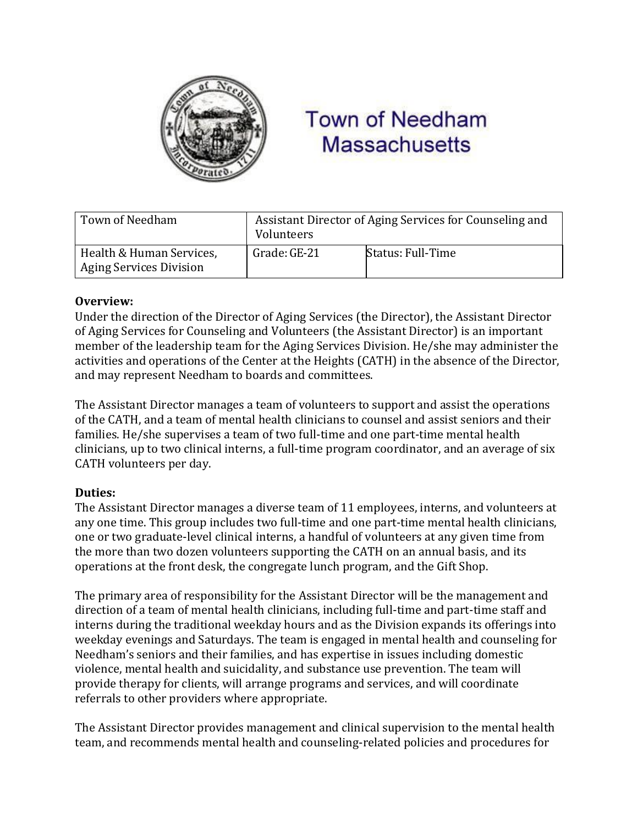

# **Town of Needham Massachusetts**

| Town of Needham                                            | Assistant Director of Aging Services for Counseling and<br>Volunteers |                   |
|------------------------------------------------------------|-----------------------------------------------------------------------|-------------------|
| Health & Human Services,<br><b>Aging Services Division</b> | Grade: GE-21                                                          | Status: Full-Time |

### **Overview:**

Under the direction of the Director of Aging Services (the Director), the Assistant Director of Aging Services for Counseling and Volunteers (the Assistant Director) is an important member of the leadership team for the Aging Services Division. He/she may administer the activities and operations of the Center at the Heights (CATH) in the absence of the Director, and may represent Needham to boards and committees.

The Assistant Director manages a team of volunteers to support and assist the operations of the CATH, and a team of mental health clinicians to counsel and assist seniors and their families. He/she supervises a team of two full-time and one part-time mental health clinicians, up to two clinical interns, a full-time program coordinator, and an average of six CATH volunteers per day.

# **Duties:**

The Assistant Director manages a diverse team of 11 employees, interns, and volunteers at any one time. This group includes two full-time and one part-time mental health clinicians, one or two graduate-level clinical interns, a handful of volunteers at any given time from the more than two dozen volunteers supporting the CATH on an annual basis, and its operations at the front desk, the congregate lunch program, and the Gift Shop.

The primary area of responsibility for the Assistant Director will be the management and direction of a team of mental health clinicians, including full-time and part-time staff and interns during the traditional weekday hours and as the Division expands its offerings into weekday evenings and Saturdays. The team is engaged in mental health and counseling for Needham's seniors and their families, and has expertise in issues including domestic violence, mental health and suicidality, and substance use prevention. The team will provide therapy for clients, will arrange programs and services, and will coordinate referrals to other providers where appropriate.

The Assistant Director provides management and clinical supervision to the mental health team, and recommends mental health and counseling-related policies and procedures for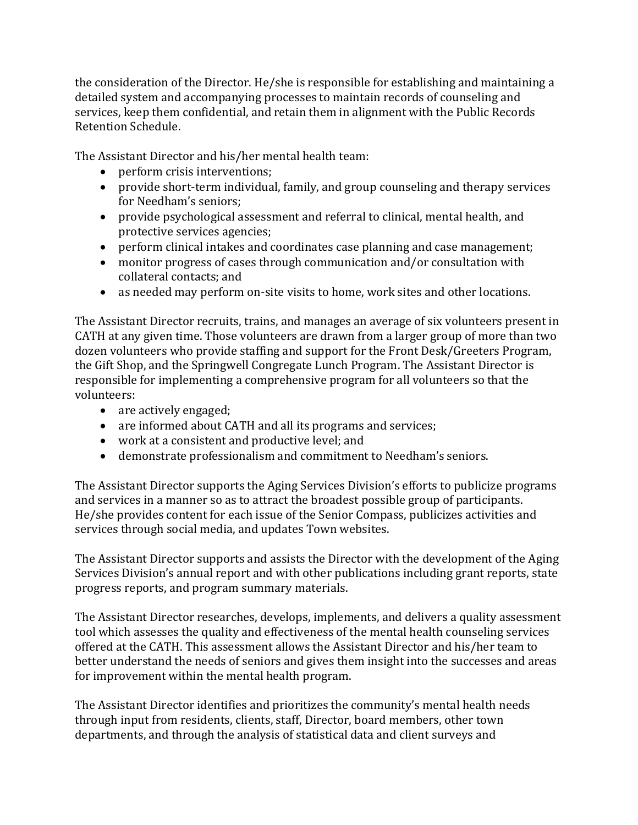the consideration of the Director. He/she is responsible for establishing and maintaining a detailed system and accompanying processes to maintain records of counseling and services, keep them confidential, and retain them in alignment with the Public Records Retention Schedule.

The Assistant Director and his/her mental health team:

- perform crisis interventions;
- provide short-term individual, family, and group counseling and therapy services for Needham's seniors;
- provide psychological assessment and referral to clinical, mental health, and protective services agencies;
- perform clinical intakes and coordinates case planning and case management;
- monitor progress of cases through communication and/or consultation with collateral contacts; and
- as needed may perform on-site visits to home, work sites and other locations.

The Assistant Director recruits, trains, and manages an average of six volunteers present in CATH at any given time. Those volunteers are drawn from a larger group of more than two dozen volunteers who provide staffing and support for the Front Desk/Greeters Program, the Gift Shop, and the Springwell Congregate Lunch Program. The Assistant Director is responsible for implementing a comprehensive program for all volunteers so that the volunteers:

- are actively engaged;
- are informed about CATH and all its programs and services;
- work at a consistent and productive level; and
- demonstrate professionalism and commitment to Needham's seniors.

The Assistant Director supports the Aging Services Division's efforts to publicize programs and services in a manner so as to attract the broadest possible group of participants. He/she provides content for each issue of the Senior Compass, publicizes activities and services through social media, and updates Town websites.

The Assistant Director supports and assists the Director with the development of the Aging Services Division's annual report and with other publications including grant reports, state progress reports, and program summary materials.

The Assistant Director researches, develops, implements, and delivers a quality assessment tool which assesses the quality and effectiveness of the mental health counseling services offered at the CATH. This assessment allows the Assistant Director and his/her team to better understand the needs of seniors and gives them insight into the successes and areas for improvement within the mental health program.

The Assistant Director identifies and prioritizes the community's mental health needs through input from residents, clients, staff, Director, board members, other town departments, and through the analysis of statistical data and client surveys and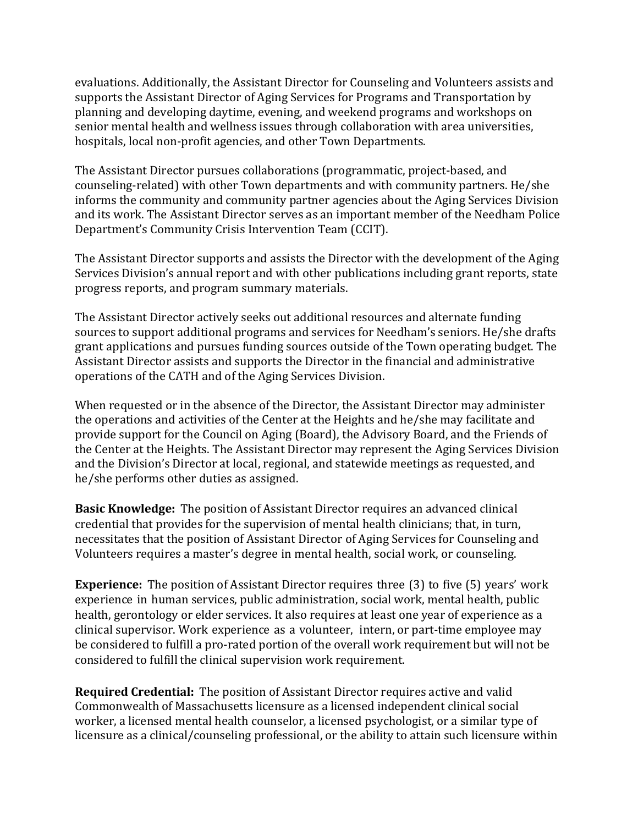evaluations. Additionally, the Assistant Director for Counseling and Volunteers assists and supports the Assistant Director of Aging Services for Programs and Transportation by planning and developing daytime, evening, and weekend programs and workshops on senior mental health and wellness issues through collaboration with area universities, hospitals, local non-profit agencies, and other Town Departments.

The Assistant Director pursues collaborations (programmatic, project-based, and counseling-related) with other Town departments and with community partners. He/she informs the community and community partner agencies about the Aging Services Division and its work. The Assistant Director serves as an important member of the Needham Police Department's Community Crisis Intervention Team (CCIT).

The Assistant Director supports and assists the Director with the development of the Aging Services Division's annual report and with other publications including grant reports, state progress reports, and program summary materials.

The Assistant Director actively seeks out additional resources and alternate funding sources to support additional programs and services for Needham's seniors. He/she drafts grant applications and pursues funding sources outside of the Town operating budget. The Assistant Director assists and supports the Director in the financial and administrative operations of the CATH and of the Aging Services Division.

When requested or in the absence of the Director, the Assistant Director may administer the operations and activities of the Center at the Heights and he/she may facilitate and provide support for the Council on Aging (Board), the Advisory Board, and the Friends of the Center at the Heights. The Assistant Director may represent the Aging Services Division and the Division's Director at local, regional, and statewide meetings as requested, and he/she performs other duties as assigned.

**Basic Knowledge:** The position of Assistant Director requires an advanced clinical credential that provides for the supervision of mental health clinicians; that, in turn, necessitates that the position of Assistant Director of Aging Services for Counseling and Volunteers requires a master's degree in mental health, social work, or counseling.

**Experience:** The position of Assistant Director requires three (3) to five (5) years' work experience in human services, public administration, social work, mental health, public health, gerontology or elder services. It also requires at least one year of experience as a clinical supervisor. Work experience as a volunteer, intern, or part-time employee may be considered to fulfill a pro-rated portion of the overall work requirement but will not be considered to fulfill the clinical supervision work requirement.

**Required Credential:** The position of Assistant Director requires active and valid Commonwealth of Massachusetts licensure as a licensed independent clinical social worker, a licensed mental health counselor, a licensed psychologist, or a similar type of licensure as a clinical/counseling professional, or the ability to attain such licensure within